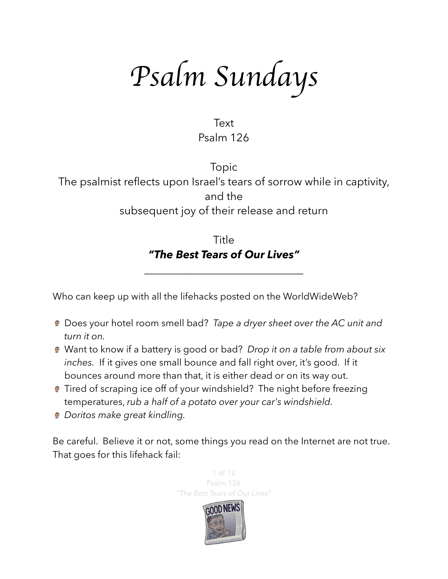*Psalm Sundays*

Text Psalm 126

Topic The psalmist reflects upon Israel's tears of sorrow while in captivity, and the subsequent joy of their release and return

> Title *"The Best Tears of Our Lives"*

\_\_\_\_\_\_\_\_\_\_\_\_\_\_\_\_\_\_\_\_\_\_\_\_\_\_\_\_\_

Who can keep up with all the lifehacks posted on the WorldWideWeb?

- Does your hotel room smell bad? *Tape a dryer sheet over the AC unit and turn it on.*
- Want to know if a battery is good or bad? *Drop it on a table from about six inches.* If it gives one small bounce and fall right over, it's good. If it bounces around more than that, it is either dead or on its way out.
- **Tired of scraping ice off of your windshield?** The night before freezing temperatures, *rub a half of a potato over your car's windshield.*
- *Doritos make great kindling.*

Be careful. Believe it or not, some things you read on the Internet are not true. That goes for this lifehack fail:

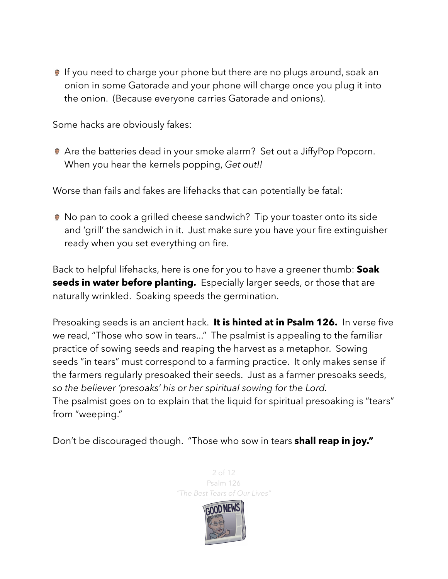If you need to charge your phone but there are no plugs around, soak an onion in some Gatorade and your phone will charge once you plug it into the onion. (Because everyone carries Gatorade and onions).

Some hacks are obviously fakes:

Are the batteries dead in your smoke alarm? Set out a JiffyPop Popcorn. When you hear the kernels popping, *Get out!!*

Worse than fails and fakes are lifehacks that can potentially be fatal:

● No pan to cook a grilled cheese sandwich? Tip your toaster onto its side and 'grill' the sandwich in it. Just make sure you have your fire extinguisher ready [when you set everything on fire.](http://metro.co.uk/2014/04/08/dont-put-a-toaster-on-its-side-and-try-to-make-cheese-on-toast-warns-fire-brigade-4692167/)

Back to helpful lifehacks, here is one for you to have a greener thumb: **Soak seeds in water before planting.** Especially larger seeds, or those that are naturally wrinkled. Soaking speeds the germination.

Presoaking seeds is an ancient hack. **It is hinted at in Psalm 126.** In verse five we read, "Those who sow in tears..." The psalmist is appealing to the familiar practice of sowing seeds and reaping the harvest as a metaphor. Sowing seeds "in tears" must correspond to a farming practice. It only makes sense if the farmers regularly presoaked their seeds. Just as a farmer presoaks seeds, *so the believer 'presoaks' his or her spiritual sowing for the Lord.* The psalmist goes on to explain that the liquid for spiritual presoaking is "tears" from "weeping."

Don't be discouraged though. "Those who sow in tears **shall reap in joy."**

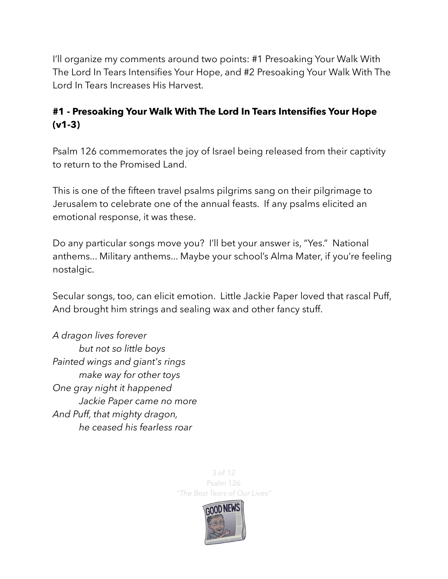I'll organize my comments around two points: #1 Presoaking Your Walk With The Lord In Tears Intensifies Your Hope, and #2 Presoaking Your Walk With The Lord In Tears Increases His Harvest.

## **#1 - Presoaking Your Walk With The Lord In Tears Intensifies Your Hope (v1-3)**

Psalm 126 commemorates the joy of Israel being released from their captivity to return to the Promised Land.

This is one of the fifteen travel psalms pilgrims sang on their pilgrimage to Jerusalem to celebrate one of the annual feasts. If any psalms elicited an emotional response, it was these.

Do any particular songs move you? I'll bet your answer is, "Yes." National anthems... Military anthems... Maybe your school's Alma Mater, if you're feeling nostalgic.

Secular songs, too, can elicit emotion. Little Jackie Paper loved that rascal Puff, And brought him strings and sealing wax and other fancy stuff.

*A dragon lives forever but not so little boys Painted wings and giant's rings make way for other toys One gray night it happened Jackie Paper came no more And Puff, that mighty dragon, he ceased his fearless roar* 

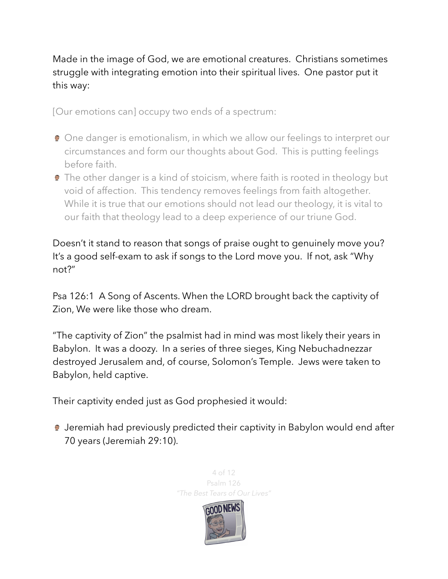Made in the image of God, we are emotional creatures. Christians sometimes struggle with integrating emotion into their spiritual lives. One pastor put it this way:

[Our emotions can] occupy two ends of a spectrum:

- **One danger is emotionalism, in which we allow our feelings to interpret our** circumstances and form our thoughts about God. This is putting feelings before faith.
- **The other danger is a kind of stoicism, where faith is rooted in theology but** void of affection. This tendency removes feelings from faith altogether. While it is true that our emotions should not lead our theology, it is vital to our faith that theology lead to a deep experience of our triune God.

Doesn't it stand to reason that songs of praise ought to genuinely move you? It's a good self-exam to ask if songs to the Lord move you. If not, ask "Why not?"

Psa 126:1 A Song of Ascents. When the LORD brought back the captivity of Zion, We were like those who dream.

"The captivity of Zion" the psalmist had in mind was most likely their years in Babylon. It was a doozy. In a series of three sieges, King Nebuchadnezzar destroyed Jerusalem and, of course, Solomon's Temple. Jews were taken to Babylon, held captive.

Their captivity ended just as God prophesied it would:

Jeremiah had previously predicted their captivity in Babylon would end after 70 years (Jeremiah 29:10).

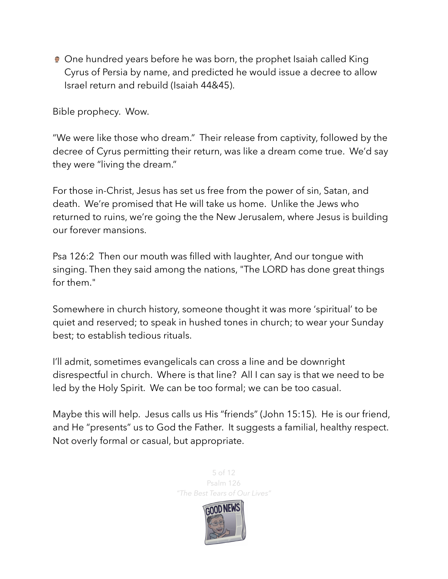● One hundred years before he was born, the prophet Isaiah called King Cyrus of Persia by name, and predicted he would issue a decree to allow Israel return and rebuild (Isaiah 44&45).

Bible prophecy. Wow.

"We were like those who dream." Their release from captivity, followed by the decree of Cyrus permitting their return, was like a dream come true. We'd say they were "living the dream."

For those in-Christ, Jesus has set us free from the power of sin, Satan, and death. We're promised that He will take us home. Unlike the Jews who returned to ruins, we're going the the New Jerusalem, where Jesus is building our forever mansions.

Psa 126:2 Then our mouth was filled with laughter, And our tongue with singing. Then they said among the nations, "The LORD has done great things for them."

Somewhere in church history, someone thought it was more 'spiritual' to be quiet and reserved; to speak in hushed tones in church; to wear your Sunday best; to establish tedious rituals.

I'll admit, sometimes evangelicals can cross a line and be downright disrespectful in church. Where is that line? All I can say is that we need to be led by the Holy Spirit. We can be too formal; we can be too casual.

Maybe this will help. Jesus calls us His "friends" (John 15:15). He is our friend, and He "presents" us to God the Father. It suggests a familial, healthy respect. Not overly formal or casual, but appropriate.



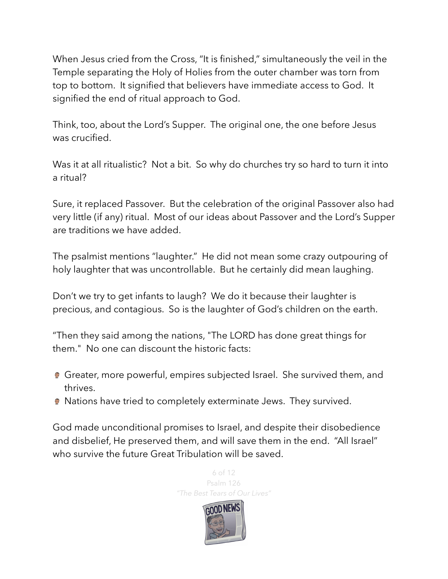When Jesus cried from the Cross, "It is finished," simultaneously the veil in the Temple separating the Holy of Holies from the outer chamber was torn from top to bottom. It signified that believers have immediate access to God. It signified the end of ritual approach to God.

Think, too, about the Lord's Supper. The original one, the one before Jesus was crucified.

Was it at all ritualistic? Not a bit. So why do churches try so hard to turn it into a ritual?

Sure, it replaced Passover. But the celebration of the original Passover also had very little (if any) ritual. Most of our ideas about Passover and the Lord's Supper are traditions we have added.

The psalmist mentions "laughter." He did not mean some crazy outpouring of holy laughter that was uncontrollable. But he certainly did mean laughing.

Don't we try to get infants to laugh? We do it because their laughter is precious, and contagious. So is the laughter of God's children on the earth.

"Then they said among the nations, "The LORD has done great things for them." No one can discount the historic facts:

- Greater, more powerful, empires subjected Israel. She survived them, and thrives.
- **Nations have tried to completely exterminate Jews. They survived.**

God made unconditional promises to Israel, and despite their disobedience and disbelief, He preserved them, and will save them in the end. "All Israel" who survive the future Great Tribulation will be saved.

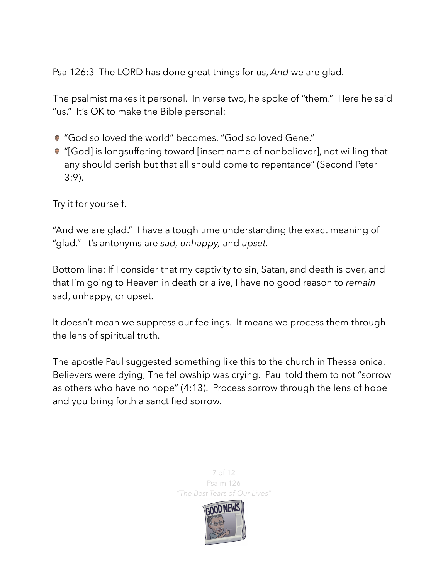Psa 126:3 The LORD has done great things for us, *And* we are glad.

The psalmist makes it personal. In verse two, he spoke of "them." Here he said "us." It's OK to make the Bible personal:

- "God so loved the world" becomes, "God so loved Gene."
- "[God] is longsuffering toward [insert name of nonbeliever], not willing that any should perish but that all should come to repentance" (Second Peter 3:9).

Try it for yourself.

"And we are glad." I have a tough time understanding the exact meaning of "glad." It's antonyms are *sad, unhappy,* and *upset.*

Bottom line: If I consider that my captivity to sin, Satan, and death is over, and that I'm going to Heaven in death or alive, I have no good reason to *remain* sad, unhappy, or upset.

It doesn't mean we suppress our feelings. It means we process them through the lens of spiritual truth.

The apostle Paul suggested something like this to the church in Thessalonica. Believers were dying; The fellowship was crying. Paul told them to not "sorrow as others who have no hope" (4:13). Process sorrow through the lens of hope and you bring forth a sanctified sorrow.

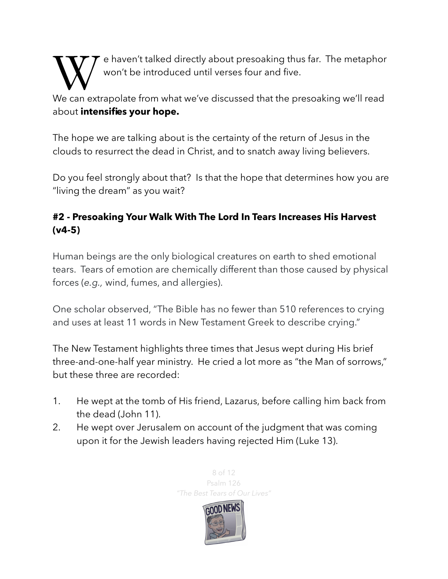e haven't talked directly about presoaking thus far. The metaphor won't be introduced until verses four and five.

We can extrapolate from what we've discussed that the presoaking we'll read about **intensifies your hope.** 

The hope we are talking about is the certainty of the return of Jesus in the clouds to resurrect the dead in Christ, and to snatch away living believers.

Do you feel strongly about that? Is that the hope that determines how you are "living the dream" as you wait?

## **#2 - Presoaking Your Walk With The Lord In Tears Increases His Harvest (v4-5)**

Human beings are the only biological creatures on earth to shed emotional tears. Tears of emotion are chemically different than those caused by physical forces (*e.g.,* wind, fumes, and allergies).

One scholar observed, "The Bible has no fewer than 510 references to crying and uses at least 11 words in New Testament Greek to describe crying."

The New Testament highlights three times that Jesus wept during His brief three-and-one-half year ministry. He cried a lot more as "the Man of sorrows," but these three are recorded:

- 1. He wept at the tomb of His friend, Lazarus, before calling him back from the dead (John 11).
- 2. He wept over Jerusalem on account of the judgment that was coming upon it for the Jewish leaders having rejected Him (Luke 13).

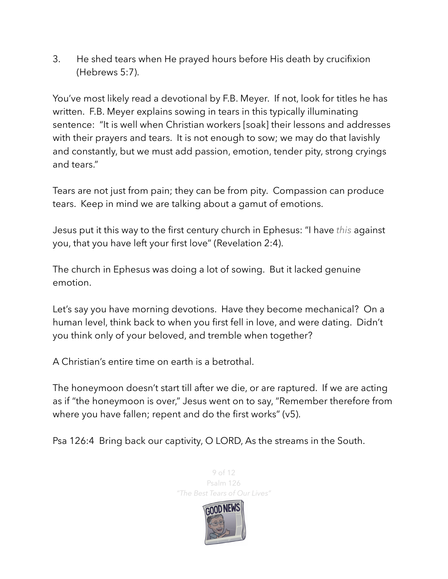3. He shed tears when He prayed hours before His death by crucifixion (Hebrews 5:7).

You've most likely read a devotional by F.B. Meyer. If not, look for titles he has written. F.B. Meyer explains sowing in tears in this typically illuminating sentence: "It is well when Christian workers [soak] their lessons and addresses with their prayers and tears. It is not enough to sow; we may do that lavishly and constantly, but we must add passion, emotion, tender pity, strong cryings and tears."

Tears are not just from pain; they can be from pity. Compassion can produce tears. Keep in mind we are talking about a gamut of emotions.

Jesus put it this way to the first century church in Ephesus: "I have *this* against you, that you have left your first love" (Revelation 2:4).

The church in Ephesus was doing a lot of sowing. But it lacked genuine emotion.

Let's say you have morning devotions. Have they become mechanical? On a human level, think back to when you first fell in love, and were dating. Didn't you think only of your beloved, and tremble when together?

A Christian's entire time on earth is a betrothal.

The honeymoon doesn't start till after we die, or are raptured. If we are acting as if "the honeymoon is over," Jesus went on to say, "Remember therefore from where you have fallen; repent and do the first works" (v5).

Psa 126:4 Bring back our captivity, O LORD, As the streams in the South.



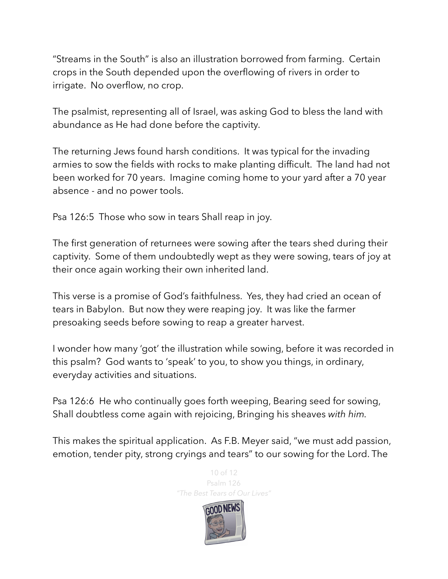"Streams in the South" is also an illustration borrowed from farming. Certain crops in the South depended upon the overflowing of rivers in order to irrigate. No overflow, no crop.

The psalmist, representing all of Israel, was asking God to bless the land with abundance as He had done before the captivity.

The returning Jews found harsh conditions. It was typical for the invading armies to sow the fields with rocks to make planting difficult. The land had not been worked for 70 years. Imagine coming home to your yard after a 70 year absence - and no power tools.

Psa 126:5 Those who sow in tears Shall reap in joy.

The first generation of returnees were sowing after the tears shed during their captivity. Some of them undoubtedly wept as they were sowing, tears of joy at their once again working their own inherited land.

This verse is a promise of God's faithfulness. Yes, they had cried an ocean of tears in Babylon. But now they were reaping joy. It was like the farmer presoaking seeds before sowing to reap a greater harvest.

I wonder how many 'got' the illustration while sowing, before it was recorded in this psalm? God wants to 'speak' to you, to show you things, in ordinary, everyday activities and situations.

Psa 126:6 He who continually goes forth weeping, Bearing seed for sowing, Shall doubtless come again with rejoicing, Bringing his sheaves *with him.* 

This makes the spiritual application. As F.B. Meyer said, "we must add passion, emotion, tender pity, strong cryings and tears" to our sowing for the Lord. The

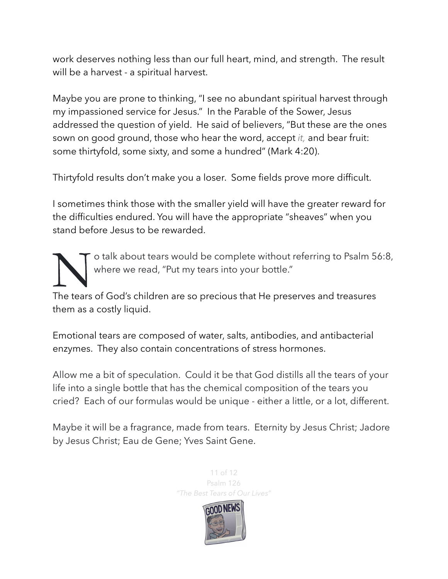work deserves nothing less than our full heart, mind, and strength. The result will be a harvest - a spiritual harvest.

Maybe you are prone to thinking, "I see no abundant spiritual harvest through my impassioned service for Jesus." In the Parable of the Sower, Jesus addressed the question of yield. He said of believers, "But these are the ones sown on good ground, those who hear the word, accept *it,* and bear fruit: some thirtyfold, some sixty, and some a hundred" (Mark 4:20).

Thirtyfold results don't make you a loser. Some fields prove more difficult.

I sometimes think those with the smaller yield will have the greater reward for the difficulties endured. You will have the appropriate "sheaves" when you stand before Jesus to be rewarded.

The tears of God's children are so precious that He preserves and treasures where we read, "Put my tears into your bottle."

The tears of God's children are so precious that He preserves and treasures them as a costly liquid.

Emotional tears are composed of [water,](https://en.wikipedia.org/wiki/Water) [salts](https://en.wikipedia.org/wiki/Salt_(chemistry)), [antibodies](https://en.wikipedia.org/wiki/Antibody), and antibacterial enzymes. They also contain concentrations of stress hormones.

Allow me a bit of speculation. Could it be that God distills all the tears of your life into a single bottle that has the chemical composition of the tears you cried? Each of our formulas would be unique - either a little, or a lot, different.

Maybe it will be a fragrance, made from tears. Eternity by Jesus Christ; Jadore by Jesus Christ; Eau de Gene; Yves Saint Gene.